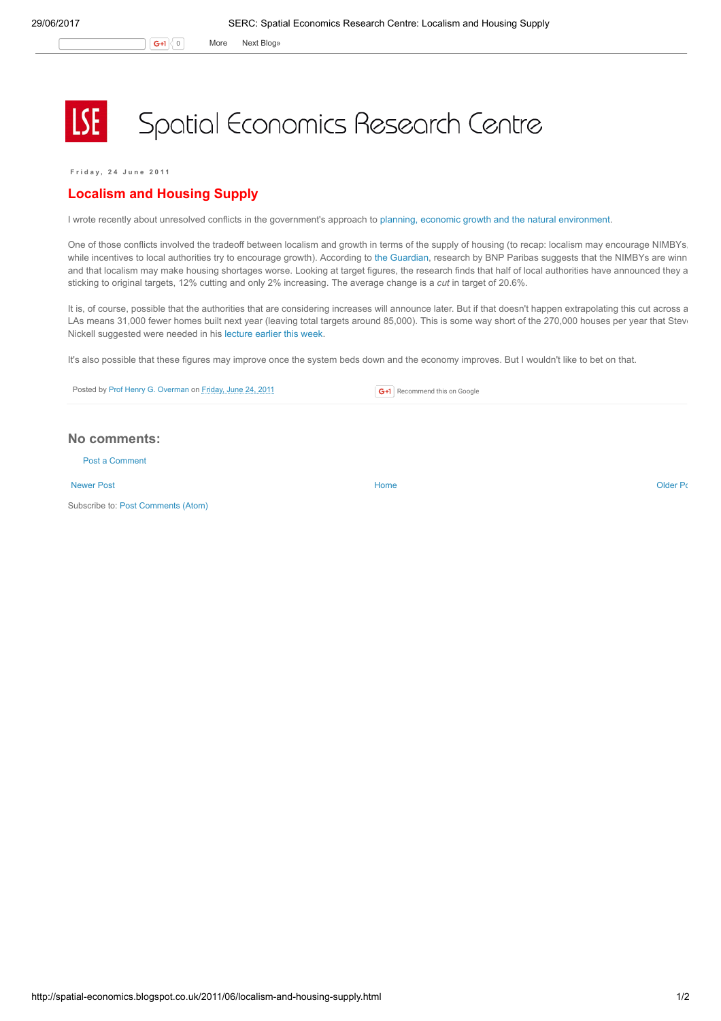G+1 0 More Next [Blog»](https://www.blogger.com/next-blog?navBar=true&blogID=974562301377041914)

## Spatial Economics Research Centre

F r i d a y , 2 4 J u n e 2 0 1 1

## Localism and Housing Supply

I wrote recently about unresolved conflicts in the government's approach to planning, economic growth and the natural [environment](http://spatial-economics.blogspot.com/2011/06/plannning-nature-and-growth-unresolved.html).

One of those conflicts involved the tradeoff between localism and growth in terms of the supply of housing (to recap: localism may encourage NIMBYs, while incentives to local authorities try to encourage growth). According to the [Guardian,](http://www.guardian.co.uk/society/2011/jun/24/localism-making-housing-shortage-worse?CMP=twt_gu) research by BNP Paribas suggests that the NIMBYs are winn and that localism may make housing shortages worse. Looking at target figures, the research finds that half of local authorities have announced they a sticking to original targets, 12% cutting and only 2% increasing. The average change is a cut in target of 20.6%.

It is, of course, possible that the authorities that are considering increases will announce later. But if that doesn't happen extrapolating this cut across a LAs means 31,000 fewer homes built next year (leaving total targets around 85,000). This is some way short of the 270,000 houses per year that Stev Nickell suggested were needed in his [lecture](http://spatial-economics.blogspot.com/2011/06/immigration-and-housing-problem.html) earlier this week.

It's also possible that these figures may improve once the system beds down and the economy improves. But I wouldn't like to bet on that.

Posted by Prof Henry G. [Overman](https://www.blogger.com/profile/15203876610491317062) on [Friday,](http://spatial-economics.blogspot.co.uk/2011/06/localism-and-housing-supply.html) June 24, 2011

## No comments:

Post a [Comment](https://www.blogger.com/comment.g?blogID=974562301377041914&postID=856522505778246553)

[Newer](http://spatial-economics.blogspot.co.uk/2011/06/moving-poor-out-of-london.html) Post **New Account Contract Account Contract Account Contract Account Contract Account Contract [Older](http://spatial-economics.blogspot.co.uk/2011/06/london-still-getting-away-with-it-cont.html) Post** 

Subscribe to: Post [Comments](http://spatial-economics.blogspot.com/feeds/856522505778246553/comments/default) (Atom)

**G+1** Recommend this on Google